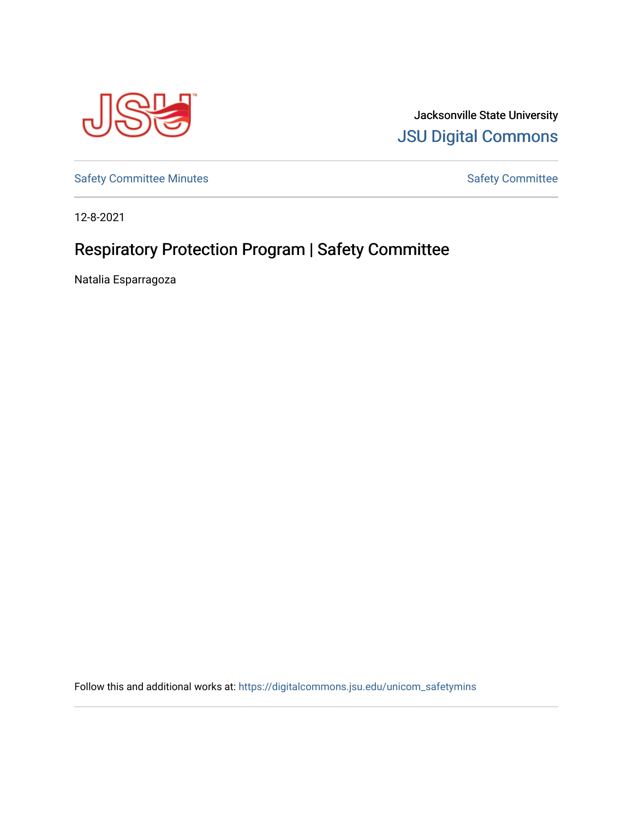

Jacksonville State University [JSU Digital Commons](https://digitalcommons.jsu.edu/) 

[Safety Committee Minutes](https://digitalcommons.jsu.edu/unicom_safetymins) **[Safety Committee](https://digitalcommons.jsu.edu/unicom_safety) Minutes** Safety Committee

12-8-2021

## Respiratory Protection Program | Safety Committee

Natalia Esparragoza

Follow this and additional works at: [https://digitalcommons.jsu.edu/unicom\\_safetymins](https://digitalcommons.jsu.edu/unicom_safetymins?utm_source=digitalcommons.jsu.edu%2Funicom_safetymins%2F1&utm_medium=PDF&utm_campaign=PDFCoverPages)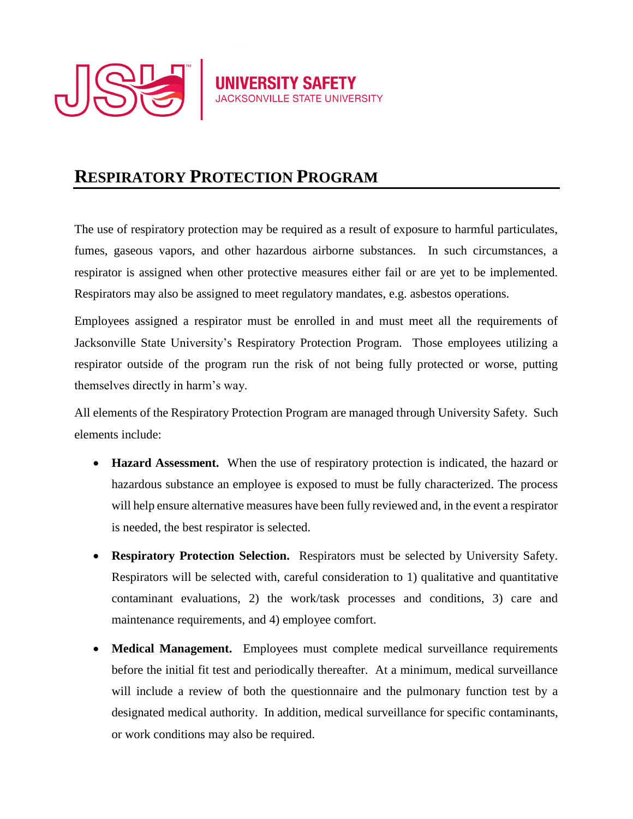

## **RESPIRATORY PROTECTION PROGRAM**

The use of respiratory protection may be required as a result of exposure to harmful particulates, fumes, gaseous vapors, and other hazardous airborne substances. In such circumstances, a respirator is assigned when other protective measures either fail or are yet to be implemented. Respirators may also be assigned to meet regulatory mandates, e.g. asbestos operations.

**UNIVERSITY SAFETY** 

Employees assigned a respirator must be enrolled in and must meet all the requirements of Jacksonville State University's Respiratory Protection Program. Those employees utilizing a respirator outside of the program run the risk of not being fully protected or worse, putting themselves directly in harm's way.

All elements of the Respiratory Protection Program are managed through University Safety. Such elements include:

- **Hazard Assessment.** When the use of respiratory protection is indicated, the hazard or hazardous substance an employee is exposed to must be fully characterized. The process will help ensure alternative measures have been fully reviewed and, in the event a respirator is needed, the best respirator is selected.
- **Respiratory Protection Selection.** Respirators must be selected by University Safety. Respirators will be selected with, careful consideration to 1) qualitative and quantitative contaminant evaluations, 2) the work/task processes and conditions, 3) care and maintenance requirements, and 4) employee comfort.
- **Medical Management.** Employees must complete medical surveillance requirements before the initial fit test and periodically thereafter. At a minimum, medical surveillance will include a review of both the questionnaire and the pulmonary function test by a designated medical authority. In addition, medical surveillance for specific contaminants, or work conditions may also be required.